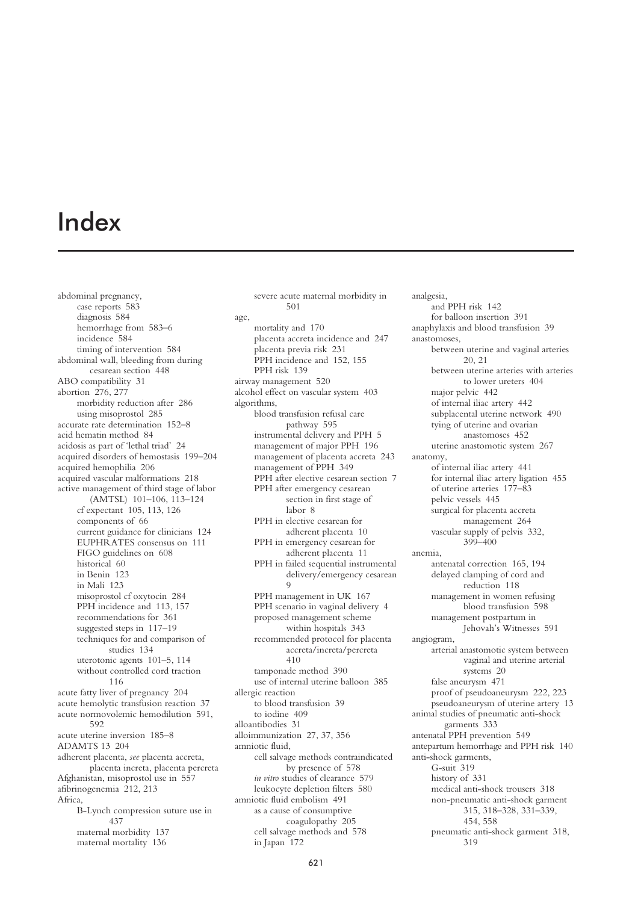## Index

abdominal pregnancy, case reports 583 diagnosis 584 hemorrhage from 583–6 incidence 584 timing of intervention 584 abdominal wall, bleeding from during cesarean section 448 ABO compatibility 31 abortion 276, 277 morbidity reduction after 286 using misoprostol 285 accurate rate determination 152–8 acid hematin method 84 acidosis as part of 'lethal triad' 24 acquired disorders of hemostasis 199–204 acquired hemophilia 206 acquired vascular malformations 218 active management of third stage of labor (AMTSL) 101–106, 113–124 cf expectant 105, 113, 126 components of 66 current guidance for clinicians 124 EUPHRATES consensus on 111 FIGO guidelines on 608 historical 60 in Benin 123 in Mali 123 misoprostol cf oxytocin 284 PPH incidence and 113, 157 recommendations for 361 suggested steps in 117–19 techniques for and comparison of studies 134 uterotonic agents 101–5, 114 without controlled cord traction 116 acute fatty liver of pregnancy 204 acute hemolytic transfusion reaction 37 acute normovolemic hemodilution 591, 592 acute uterine inversion 185–8 ADAMTS 13 204 adherent placenta, *see* placenta accreta, placenta increta, placenta percreta Afghanistan, misoprostol use in 557 afibrinogenemia 212, 213 Africa, B-Lynch compression suture use in 437 maternal morbidity 137 maternal mortality 136

severe acute maternal morbidity in 501 age, mortality and 170 placenta accreta incidence and 247 placenta previa risk 231 PPH incidence and 152, 155 PPH risk 139 airway management 520 alcohol effect on vascular system 403 algorithms, blood transfusion refusal care pathway 595 instrumental delivery and PPH 5 management of major PPH 196 management of placenta accreta 243 management of PPH 349 PPH after elective cesarean section 7 PPH after emergency cesarean section in first stage of labor 8 PPH in elective cesarean for adherent placenta 10 PPH in emergency cesarean for adherent placenta 11 PPH in failed sequential instrumental delivery/emergency cesarean 9 PPH management in UK 167 PPH scenario in vaginal delivery 4 proposed management scheme within hospitals 343 recommended protocol for placenta accreta/increta/percreta 410 tamponade method 390 use of internal uterine balloon 385 allergic reaction to blood transfusion 39 to iodine 409 alloantibodies 31 alloimmunization 27, 37, 356 amniotic fluid, cell salvage methods contraindicated by presence of 578 *in vitro* studies of clearance 579 leukocyte depletion filters 580 amniotic fluid embolism 491 as a cause of consumptive coagulopathy 205 cell salvage methods and 578 in Japan 172

and PPH risk 142 for balloon insertion 391 anaphylaxis and blood transfusion 39 anastomoses, between uterine and vaginal arteries 20, 21 between uterine arteries with arteries to lower ureters 404 major pelvic 442 of internal iliac artery 442 subplacental uterine network 490 tying of uterine and ovarian anastomoses 452 uterine anastomotic system 267 anatomy, of internal iliac artery 441 for internal iliac artery ligation 455 of uterine arteries 177–83 pelvic vessels 445 surgical for placenta accreta management 264 vascular supply of pelvis 332, 399–400 anemia, antenatal correction 165, 194 delayed clamping of cord and reduction 118 management in women refusing blood transfusion 598 management postpartum in Jehovah's Witnesses 591 angiogram, arterial anastomotic system between vaginal and uterine arterial systems 20 false aneurysm 471 proof of pseudoaneurysm 222, 223 pseudoaneurysm of uterine artery 13 animal studies of pneumatic anti-shock garments 333 antenatal PPH prevention 549 antepartum hemorrhage and PPH risk 140 anti-shock garments, G-suit 319 history of 331 medical anti-shock trousers 318 non-pneumatic anti-shock garment 315, 318–328, 331–339, 454, 558 pneumatic anti-shock garment 318, 319

analgesia,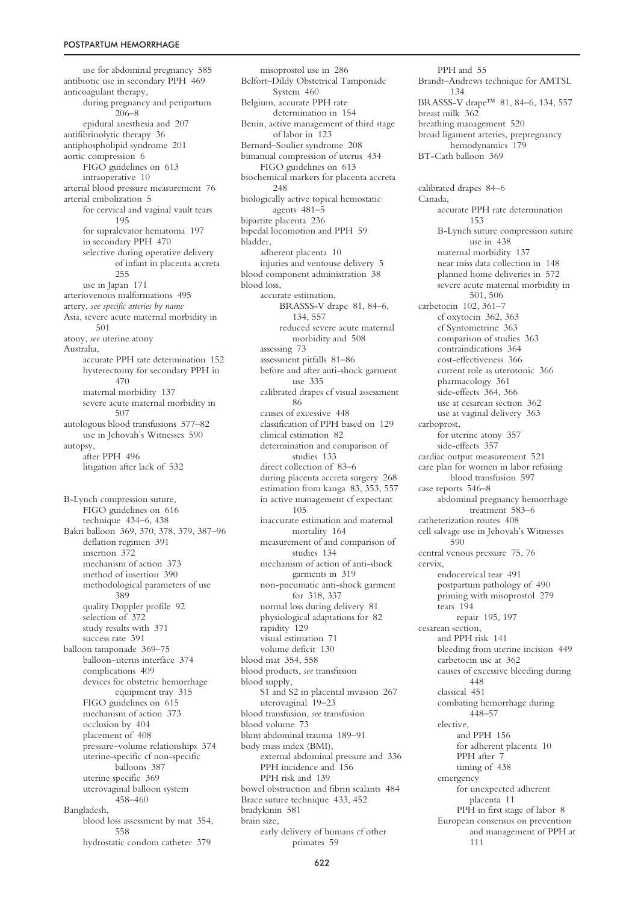use for abdominal pregnancy 585 antibiotic use in secondary PPH 469 anticoagulant therapy, during pregnancy and peripartum 206–8 epidural anesthesia and 207 antifibrinolytic therapy 36 antiphospholipid syndrome 201 aortic compression 6 FIGO guidelines on 613 intraoperative 10 arterial blood pressure measurement 76 arterial embolization 5 for cervical and vaginal vault tears 195 for supralevator hematoma 197 in secondary PPH 470 selective during operative delivery of infant in placenta accreta 255 use in Japan 171 arteriovenous malformations 495 artery, *see specific arteries by name* Asia, severe acute maternal morbidity in 501 atony, *see* uterine atony Australia, accurate PPH rate determination 152 hysterectomy for secondary PPH in 470 maternal morbidity 137 severe acute maternal morbidity in 507 autologous blood transfusions 577–82 use in Jehovah's Witnesses 590 autopsy, after PPH 496 litigation after lack of 532 B-Lynch compression suture, FIGO guidelines on 616 technique 434–6, 438 Bakri balloon 369, 370, 378, 379, 387–96 deflation regimen 391 insertion 372 mechanism of action 373 method of insertion 390 methodological parameters of use 389 quality Doppler profile 92 selection of 372 study results with 371 success rate 391 balloon tamponade 369–75 balloon–uterus interface 374 complications 409 devices for obstetric hemorrhage equipment tray 315 FIGO guidelines on 615 mechanism of action 373 occlusion by 404 placement of 408 pressure–volume relationships 374 uterine-specific cf non-specific balloons 387 uterine specific 369 uterovaginal balloon system 458–460 Bangladesh, blood loss assessment by mat 354, 558 hydrostatic condom catheter 379

misoprostol use in 286 Belfort–Dildy Obstetrical Tamponade System 460 Belgium, accurate PPH rate determination in 154 Benin, active management of third stage of labor in 123 Bernard–Soulier syndrome 208 bimanual compression of uterus 434 FIGO guidelines on 613 biochemical markers for placenta accreta 248 biologically active topical hemostatic agents 481–5 bipartite placenta 236 bipedal locomotion and PPH 59 bladder, adherent placenta 10 injuries and ventouse delivery 5 blood component administration 38 blood loss, accurate estimation, BRASSS-V drape 81, 84–6, 134, 557 reduced severe acute maternal morbidity and 508 assessing 73 assessment pitfalls 81–86 before and after anti-shock garment use 335 calibrated drapes cf visual assessment 86 causes of excessive 448 classification of PPH based on 129 clinical estimation 82 determination and comparison of studies 133 direct collection of 83–6 during placenta accreta surgery 268 estimation from kanga 83, 353, 557 in active management cf expectant 105 inaccurate estimation and maternal mortality 164 measurement of and comparison of studies 134 mechanism of action of anti-shock garments in 319 non-pneumatic anti-shock garment for 318, 337 normal loss during delivery 81 physiological adaptations for 82 rapidity 129 visual estimation 71 volume deficit 130 blood mat 354, 558 blood products, *see* transfusion blood supply, S1 and S2 in placental invasion 267 uterovaginal 19–23 blood transfusion, *see* transfusion blood volume 73 blunt abdominal trauma 189–91 body mass index (BMI), external abdominal pressure and 336 PPH incidence and 156 PPH risk and 139 bowel obstruction and fibrin sealants 484 Brace suture technique 433, 452 bradykinin 581 brain size, early delivery of humans cf other primates 59

PPH and 55 Brandt–Andrews technique for AMTSL 134 BRASSS-V drape™ 81, 84–6, 134, 557 breast milk 362 breathing management 520 broad ligament arteries, prepregnancy hemodynamics 179 BT-Cath balloon 369 calibrated drapes 84–6 Canada, accurate PPH rate determination 153 B-Lynch suture compression suture use in 438 maternal morbidity 137 near miss data collection in 148 planned home deliveries in 572 severe acute maternal morbidity in 501, 506 carbetocin 102, 361–7 cf oxytocin 362, 363 cf Syntometrine 363 comparison of studies 363 contraindications 364 cost-effectiveness 366 current role as uterotonic 366 pharmacology 361 side-effects 364, 366 use at cesarean section 362 use at vaginal delivery 363 carboprost, for uterine atony 357 side-effects 357 cardiac output measurement 521 care plan for women in labor refusing blood transfusion 597 case reports 546–8 abdominal pregnancy hemorrhage treatment 583–6 catheterization routes 408 cell salvage use in Jehovah's Witnesses 590 central venous pressure 75, 76 cervix, endocervical tear 491 postpartum pathology of 490 priming with misoprostol 279 tears 194 repair 195, 197 cesarean section, and PPH risk 141 bleeding from uterine incision 449 carbetocin use at 362 causes of excessive bleeding during 448 classical 451 combating hemorrhage during 448–57 elective, and PPH 156 for adherent placenta 10 PPH after 7 timing of 438 emergency for unexpected adherent placenta 11 PPH in first stage of labor 8 European consensus on prevention and management of PPH at 111

622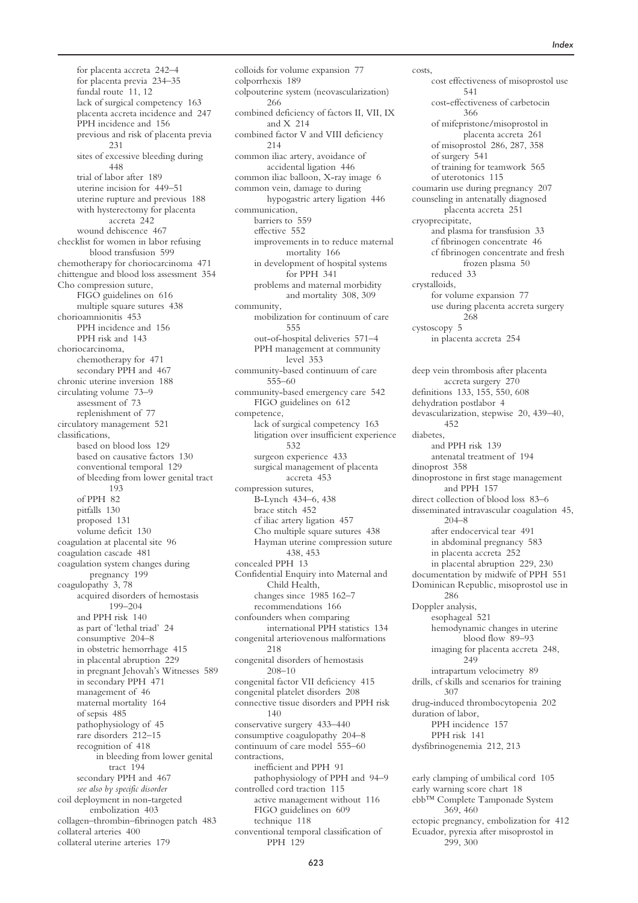for placenta accreta 242–4 for placenta previa 234–35 fundal route 11, 12 lack of surgical competency 163 placenta accreta incidence and 247 PPH incidence and 156 previous and risk of placenta previa 231 sites of excessive bleeding during 448 trial of labor after 189 uterine incision for 449–51 uterine rupture and previous 188 with hysterectomy for placenta accreta 242 wound dehiscence 467 checklist for women in labor refusing blood transfusion 599 chemotherapy for choriocarcinoma 471 chittengue and blood loss assessment 354 Cho compression suture, FIGO guidelines on 616 multiple square sutures 438 chorioamnionitis 453 PPH incidence and 156 PPH risk and 143 choriocarcinoma, chemotherapy for 471 secondary PPH and 467 chronic uterine inversion 188 circulating volume 73–9 assessment of 73 replenishment of 77 circulatory management 521 classifications, based on blood loss 129 based on causative factors 130 conventional temporal 129 of bleeding from lower genital tract 193 of PPH 82 pitfalls 130 proposed 131 volume deficit 130 coagulation at placental site 96 coagulation cascade 481 coagulation system changes during pregnancy 199 coagulopathy 3, 78 acquired disorders of hemostasis 199–204 and PPH risk 140 as part of 'lethal triad' 24 consumptive 204–8 in obstetric hemorrhage 415 in placental abruption 229 in pregnant Jehovah's Witnesses 589 in secondary PPH 471 management of 46 maternal mortality 164 of sepsis 485 pathophysiology of 45 rare disorders 212–15 recognition of 418 in bleeding from lower genital tract 194 secondary PPH and 467 *see also by specific disorder* coil deployment in non-targeted embolization 403 collagen–thrombin–fibrinogen patch 483 collateral arteries 400 collateral uterine arteries 179

colloids for volume expansion 77 colporrhexis 189 colpouterine system (neovascularization) 266 combined deficiency of factors II, VII, IX and X 214 combined factor V and VIII deficiency 214 common iliac artery, avoidance of accidental ligation 446 common iliac balloon, X-ray image 6 common vein, damage to during hypogastric artery ligation 446 communication, barriers to 559 effective 552 improvements in to reduce maternal mortality 166 in development of hospital systems for PPH 341 problems and maternal morbidity and mortality 308, 309 community, mobilization for continuum of care 555 out-of-hospital deliveries 571–4 PPH management at community level 353 community-based continuum of care 555–60 community-based emergency care 542 FIGO guidelines on 612 competence, lack of surgical competency 163 litigation over insufficient experience 532 surgeon experience 433 surgical management of placenta accreta 453 compression sutures, B-Lynch 434–6, 438 brace stitch 452 cf iliac artery ligation 457 Cho multiple square sutures 438 Hayman uterine compression suture 438, 453 concealed PPH 13 Confidential Enquiry into Maternal and Child Health, changes since 1985 162–7 recommendations 166 confounders when comparing international PPH statistics 134 congenital arteriovenous malformations 218 congenital disorders of hemostasis 208–10 congenital factor VII deficiency 415 congenital platelet disorders 208 connective tissue disorders and PPH risk 140 conservative surgery 433–440 consumptive coagulopathy 204–8 continuum of care model 555–60 contractions, inefficient and PPH 91 pathophysiology of PPH and 94–9 controlled cord traction 115 active management without 116 FIGO guidelines on 609 technique 118 conventional temporal classification of PPH 129

costs, cost effectiveness of misoprostol use 541 cost-effectiveness of carbetocin 366 of mifepristone/misoprostol in placenta accreta 261 of misoprostol 286, 287, 358 of surgery 541 of training for teamwork 565 of uterotonics 115 coumarin use during pregnancy 207 counseling in antenatally diagnosed placenta accreta 251 cryoprecipitate, and plasma for transfusion 33 cf fibrinogen concentrate 46 cf fibrinogen concentrate and fresh frozen plasma 50 reduced 33 crystalloids, for volume expansion 77 use during placenta accreta surgery 268 cystoscopy 5 in placenta accreta 254 deep vein thrombosis after placenta accreta surgery 270 definitions 133, 155, 550, 608 dehydration postlabor 4 devascularization, stepwise 20, 439–40, 452 diabetes, and PPH risk 139 antenatal treatment of 194 dinoprost 358 dinoprostone in first stage management and PPH 157 direct collection of blood loss 83–6 disseminated intravascular coagulation 45, 204–8 after endocervical tear 491 in abdominal pregnancy 583 in placenta accreta 252 in placental abruption 229, 230 documentation by midwife of PPH 551 Dominican Republic, misoprostol use in 286 Doppler analysis, esophageal 521 hemodynamic changes in uterine blood flow 89–93 imaging for placenta accreta 248, 249 intrapartum velocimetry 89 drills, cf skills and scenarios for training 307 drug-induced thrombocytopenia 202 duration of labor. PPH incidence 157 PPH risk 141 dysfibrinogenemia 212, 213 early clamping of umbilical cord 105 early warning score chart 18 ebb™ Complete Tamponade System 369, 460

ectopic pregnancy, embolization for 412 Ecuador, pyrexia after misoprostol in 299, 300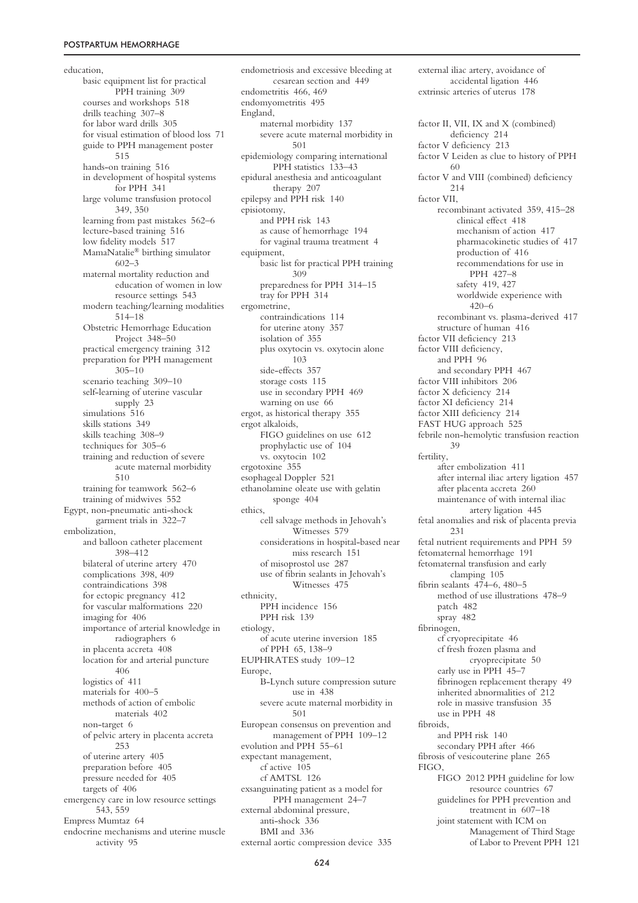education, basic equipment list for practical PPH training 309 courses and workshops 518 drills teaching 307–8 for labor ward drills 305 for visual estimation of blood loss 71 guide to PPH management poster 515 hands-on training 516 in development of hospital systems for PPH 341 large volume transfusion protocol 349, 350 learning from past mistakes 562–6 lecture-based training 516 low fidelity models 517 MamaNatalie® birthing simulator 602–3 maternal mortality reduction and education of women in low resource settings 543 modern teaching/learning modalities 514–18 Obstetric Hemorrhage Education Project 348–50 practical emergency training 312 preparation for PPH management 305–10 scenario teaching 309–10 self-learning of uterine vascular supply 23 simulations 516 skills stations 349 skills teaching 308–9 techniques for 305–6 training and reduction of severe acute maternal morbidity 510 training for teamwork 562–6 training of midwives 552 Egypt, non-pneumatic anti-shock garment trials in 322–7 embolization, and balloon catheter placement 398–412 bilateral of uterine artery 470 complications 398, 409 contraindications 398 for ectopic pregnancy 412 for vascular malformations 220 imaging for 406 importance of arterial knowledge in radiographers 6 in placenta accreta 408 location for and arterial puncture 406 logistics of 411 materials for 400–5 methods of action of embolic materials 402 non-target 6 of pelvic artery in placenta accreta 253 of uterine artery 405 preparation before 405 pressure needed for 405 targets of 406 emergency care in low resource settings 543, 559 Empress Mumtaz 64 endocrine mechanisms and uterine muscle activity 95

endometriosis and excessive bleeding at cesarean section and 449 endometritis 466, 469 endomyometritis 495 England, maternal morbidity 137 severe acute maternal morbidity in 501 epidemiology comparing international PPH statistics 133–43 epidural anesthesia and anticoagulant therapy 207 epilepsy and PPH risk 140 episiotomy, and PPH risk 143 as cause of hemorrhage 194 for vaginal trauma treatment 4 equipment, basic list for practical PPH training 309 preparedness for PPH 314–15 tray for PPH 314 ergometrine, contraindications 114 for uterine atony 357 isolation of 355 plus oxytocin vs. oxytocin alone 103 side-effects 357 storage costs 115 use in secondary PPH 469 warning on use 66 ergot, as historical therapy 355 ergot alkaloids, FIGO guidelines on use 612 prophylactic use of 104 vs. oxytocin 102 ergotoxine 355 esophageal Doppler 521 ethanolamine oleate use with gelatin sponge 404 ethics, cell salvage methods in Jehovah's Witnesses 579 considerations in hospital-based near miss research 151 of misoprostol use 287 use of fibrin sealants in Jehovah's Witnesses 475 ethnicity, PPH incidence 156 PPH risk 139 etiology, of acute uterine inversion 185 of PPH 65, 138–9 EUPHRATES study 109–12 Europe, B-Lynch suture compression suture use in 438 severe acute maternal morbidity in 501 European consensus on prevention and management of PPH 109–12 evolution and PPH 55–61 expectant management, cf active 105 cf AMTSL 126 exsanguinating patient as a model for PPH management 24–7 external abdominal pressure, anti-shock 336 BMI and 336 external aortic compression device 335

external iliac artery, avoidance of accidental ligation 446 extrinsic arteries of uterus 178 factor II, VII, IX and X (combined) deficiency 214 factor V deficiency 213 factor V Leiden as clue to history of PPH 60 factor V and VIII (combined) deficiency 214 factor VII, recombinant activated 359, 415–28 clinical effect 418 mechanism of action 417 pharmacokinetic studies of 417 production of 416 recommendations for use in PPH 427–8 safety 419, 427 worldwide experience with 420–6 recombinant vs. plasma-derived 417 structure of human 416 factor VII deficiency 213 factor VIII deficiency, and PPH 96 and secondary PPH 467 factor VIII inhibitors 206 factor X deficiency 214 factor XI deficiency 214 factor XIII deficiency 214 FAST HUG approach 525 febrile non-hemolytic transfusion reaction 39 fertility, after embolization 411 after internal iliac artery ligation 457 after placenta accreta 260 maintenance of with internal iliac artery ligation 445 fetal anomalies and risk of placenta previa 231 fetal nutrient requirements and PPH 59 fetomaternal hemorrhage 191 fetomaternal transfusion and early clamping 105 fibrin sealants  $474-6$ ,  $480-5$ method of use illustrations 478–9 patch 482 spray 482 fibrinogen, cf cryoprecipitate 46 cf fresh frozen plasma and cryoprecipitate 50 early use in PPH 45–7 fibrinogen replacement therapy 49 inherited abnormalities of 212 role in massive transfusion 35 use in PPH 48 fibroids, and PPH risk 140 secondary PPH after 466 fibrosis of vesicouterine plane 265 FIGO, FIGO 2012 PPH guideline for low resource countries 67 guidelines for PPH prevention and treatment in 607–18 joint statement with ICM on Management of Third Stage of Labor to Prevent PPH 121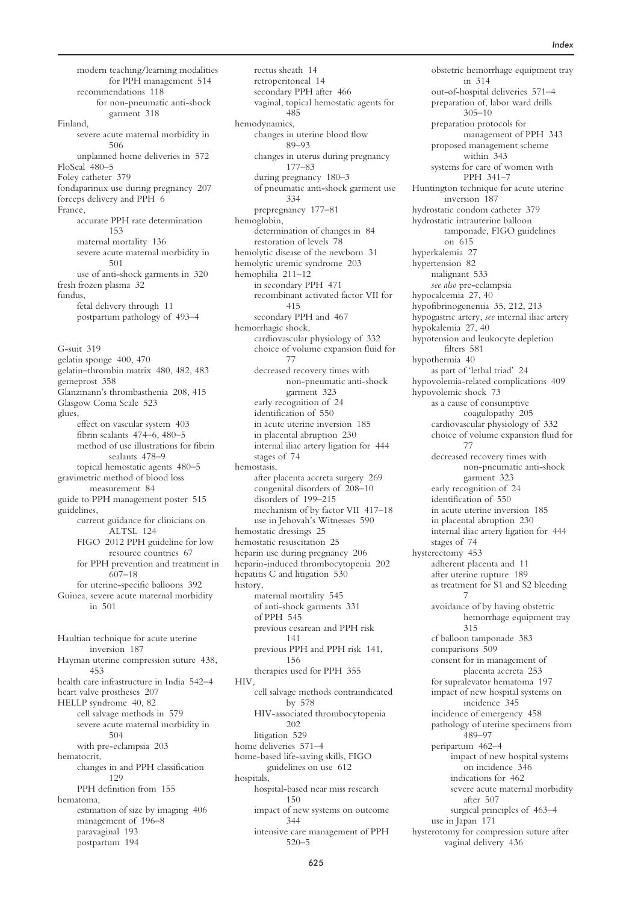modern teaching/learning modalities for PPH management 514 recommendations 118 for non-pneumatic anti-shock garment 318 Finland, severe acute maternal morbidity in 506 unplanned home deliveries in 572 FloSeal 480–5 Foley catheter 379 fondaparinux use during pregnancy 207 forceps delivery and PPH 6 France, accurate PPH rate determination 153 maternal mortality 136 severe acute maternal morbidity in 501 use of anti-shock garments in 320 fresh frozen plasma 32 fundus, fetal delivery through 11 postpartum pathology of 493–4 G-suit 319 gelatin sponge 400, 470 gelatin–thrombin matrix 480, 482, 483 gemeprost 358 Glanzmann's thrombasthenia 208, 415 Glasgow Coma Scale 523 glues, effect on vascular system 403 fibrin sealants 474–6, 480–5 method of use illustrations for fibrin sealants 478–9 topical hemostatic agents 480–5 gravimetric method of blood loss measurement 84 guide to PPH management poster 515 guidelines, current guidance for clinicians on ALTSL 124 FIGO 2012 PPH guideline for low resource countries 67 for PPH prevention and treatment in 607–18 for uterine-specific balloons 392 Guinea, severe acute maternal morbidity in 501 Haultian technique for acute uterine inversion 187 Hayman uterine compression suture 438, 453 health care infrastructure in India 542–4 heart valve prostheses 207 HELLP syndrome 40, 82 cell salvage methods in 579 severe acute maternal morbidity in 504 with pre-eclampsia 203

hematocrit, changes in and PPH classification 129 PPH definition from 155 hematoma, estimation of size by imaging 406 management of 196–8 paravaginal 193 postpartum 194

rectus sheath 14 retroperitoneal 14 secondary PPH after 466 vaginal, topical hemostatic agents for 485 hemodynamics, changes in uterine blood flow 89–93 changes in uterus during pregnancy 177–83 during pregnancy 180–3 of pneumatic anti-shock garment use 334 prepregnancy 177–81 hemoglobin, determination of changes in 84 restoration of levels 78 hemolytic disease of the newborn 31 hemolytic uremic syndrome 203 hemophilia 211–12 in secondary PPH 471 recombinant activated factor VII for 415 secondary PPH and 467 hemorrhagic shock, cardiovascular physiology of 332 choice of volume expansion fluid for 77 decreased recovery times with non-pneumatic anti-shock garment 323 early recognition of 24 identification of 550 in acute uterine inversion 185 in placental abruption 230 internal iliac artery ligation for 444 stages of 74 hemostasis, after placenta accreta surgery 269 congenital disorders of 208–10 disorders of 199–215 mechanism of by factor VII 417–18 use in Jehovah's Witnesses 590 hemostatic dressings 25 hemostatic resuscitation 25 heparin use during pregnancy 206 heparin-induced thrombocytopenia 202 hepatitis C and litigation 530 history, maternal mortality 545 of anti-shock garments 331 of PPH 545 previous cesarean and PPH risk 141 previous PPH and PPH risk 141, 156 therapies used for PPH 355 HIV, cell salvage methods contraindicated by 578 HIV-associated thrombocytopenia 202 litigation 529 home deliveries 571–4 home-based life-saving skills, FIGO guidelines on use 612 hospitals, hospital-based near miss research 150 impact of new systems on outcome 344 intensive care management of PPH 520–5

obstetric hemorrhage equipment tray in 314 out-of-hospital deliveries 571–4 preparation of, labor ward drills 305–10 preparation protocols for management of PPH 343 proposed management scheme within 343 systems for care of women with PPH 341–7 Huntington technique for acute uterine inversion 187 hydrostatic condom catheter 379 hydrostatic intrauterine balloon tamponade, FIGO guidelines on 615 hyperkalemia 27 hypertension 82 malignant 533 *see also* pre-eclampsia hypocalcemia 27, 40 hypofibrinogenemia 35, 212, 213 hypogastric artery, *see* internal iliac artery hypokalemia 27, 40 hypotension and leukocyte depletion filters 581 hypothermia 40 as part of 'lethal triad' 24 hypovolemia-related complications 409 hypovolemic shock 73 as a cause of consumptive coagulopathy 205 cardiovascular physiology of 332 choice of volume expansion fluid for 77 decreased recovery times with non-pneumatic anti-shock garment 323 early recognition of 24 identification of 550 in acute uterine inversion 185 in placental abruption 230 internal iliac artery ligation for 444 stages of 74 hysterectomy 453 adherent placenta and 11 after uterine rupture 189 as treatment for S1 and S2 bleeding 7 avoidance of by having obstetric hemorrhage equipment tray 315 cf balloon tamponade 383 comparisons 509 consent for in management of placenta accreta 253 for supralevator hematoma 197 impact of new hospital systems on incidence 345 incidence of emergency 458 pathology of uterine specimens from 489–97 peripartum 462–4 impact of new hospital systems on incidence 346 indications for 462 severe acute maternal morbidity after 507 surgical principles of 463–4 use in Japan 171 hysterotomy for compression suture after vaginal delivery 436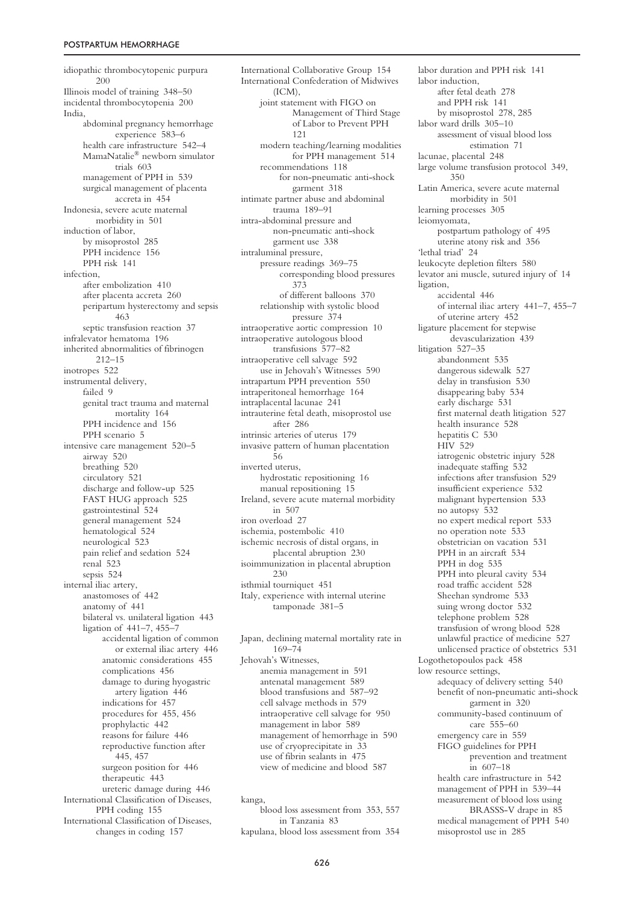idiopathic thrombocytopenic purpura 200 Illinois model of training 348–50 incidental thrombocytopenia 200 India, abdominal pregnancy hemorrhage experience 583–6 health care infrastructure 542–4 MamaNatalie® newborn simulator trials 603 management of PPH in 539 surgical management of placenta accreta in 454 Indonesia, severe acute maternal morbidity in 501 induction of labor, by misoprostol 285 PPH incidence 156 PPH risk 141 infection, after embolization 410 after placenta accreta 260 peripartum hysterectomy and sepsis 463 septic transfusion reaction 37 infralevator hematoma 196 inherited abnormalities of fibrinogen 212–15 inotropes 522 instrumental delivery, failed 9 genital tract trauma and maternal mortality 164 PPH incidence and 156 PPH scenario 5 intensive care management 520–5 airway 520 breathing 520 circulatory 521 discharge and follow-up 525 FAST HUG approach 525 gastrointestinal 524 general management 524 hematological 524 neurological 523 pain relief and sedation 524 renal 523 sepsis 524 internal iliac artery, anastomoses of 442 anatomy of 441 bilateral vs. unilateral ligation 443 ligation of 441–7, 455–7 accidental ligation of common or external iliac artery 446 anatomic considerations 455 complications 456 damage to during hyogastric artery ligation 446 indications for 457 procedures for 455, 456 prophylactic 442 reasons for failure 446 reproductive function after 445, 457 surgeon position for 446 therapeutic 443 ureteric damage during 446 International Classification of Diseases, PPH coding 155 International Classification of Diseases, changes in coding 157

International Collaborative Group 154 International Confederation of Midwives  $(ICM)$ . joint statement with FIGO on Management of Third Stage of Labor to Prevent PPH 121 modern teaching/learning modalities for PPH management 514 recommendations 118 for non-pneumatic anti-shock garment 318 intimate partner abuse and abdominal trauma 189–91 intra-abdominal pressure and non-pneumatic anti-shock garment use 338 intraluminal pressure, pressure readings 369–75 corresponding blood pressures 373 of different balloons 370 relationship with systolic blood pressure 374 intraoperative aortic compression 10 intraoperative autologous blood transfusions 577–82 intraoperative cell salvage 592 use in Jehovah's Witnesses 590 intrapartum PPH prevention 550 intraperitoneal hemorrhage 164 intraplacental lacunae 241 intrauterine fetal death, misoprostol use after 286 intrinsic arteries of uterus 179 invasive pattern of human placentation 56 inverted uterus, hydrostatic repositioning 16 manual repositioning 15 Ireland, severe acute maternal morbidity in 507 iron overload 27 ischemia, postembolic 410 ischemic necrosis of distal organs, in placental abruption 230 isoimmunization in placental abruption 230 isthmial tourniquet 451 Italy, experience with internal uterine tamponade 381–5

Japan, declining maternal mortality rate in 169–74 Jehovah's Witnesses, anemia management in 591 antenatal management 589 blood transfusions and 587–92 cell salvage methods in 579 intraoperative cell salvage for 950 management in labor 589 management of hemorrhage in 590 use of cryoprecipitate in 33 use of fibrin sealants in 475 view of medicine and blood 587

## kanga,

blood loss assessment from 353, 557 in Tanzania 83 kapulana, blood loss assessment from 354 labor duration and PPH risk 141 labor induction, after fetal death 278 and PPH risk 141 by misoprostol 278, 285 labor ward drills 305–10 assessment of visual blood loss estimation 71 lacunae, placental 248 large volume transfusion protocol 349, 350 Latin America, severe acute maternal morbidity in 501 learning processes 305 leiomyomata, postpartum pathology of 495 uterine atony risk and 356 'lethal triad' 24 leukocyte depletion filters 580 levator ani muscle, sutured injury of 14 ligation, accidental 446 of internal iliac artery 441–7, 455–7 of uterine artery 452 ligature placement for stepwise devascularization 439 litigation 527–35 abandonment 535 dangerous sidewalk 527 delay in transfusion 530 disappearing baby 534 early discharge 531 first maternal death litigation 527 health insurance 528 hepatitis C 530 HIV 529 iatrogenic obstetric injury 528 inadequate staffing 532 infections after transfusion 529 insufficient experience 532 malignant hypertension 533 no autopsy 532 no expert medical report 533 no operation note 533 obstetrician on vacation 531 PPH in an aircraft 534 PPH in dog 535 PPH into pleural cavity 534 road traffic accident 528 Sheehan syndrome 533 suing wrong doctor 532 telephone problem 528 transfusion of wrong blood 528 unlawful practice of medicine 527 unlicensed practice of obstetrics 531 Logothetopoulos pack 458 low resource settings, adequacy of delivery setting 540 benefit of non-pneumatic anti-shock garment in 320 community-based continuum of care 555–60 emergency care in 559 FIGO guidelines for PPH prevention and treatment in 607–18 health care infrastructure in 542 management of PPH in 539–44 measurement of blood loss using BRASSS-V drape in 85 medical management of PPH 540 misoprostol use in 285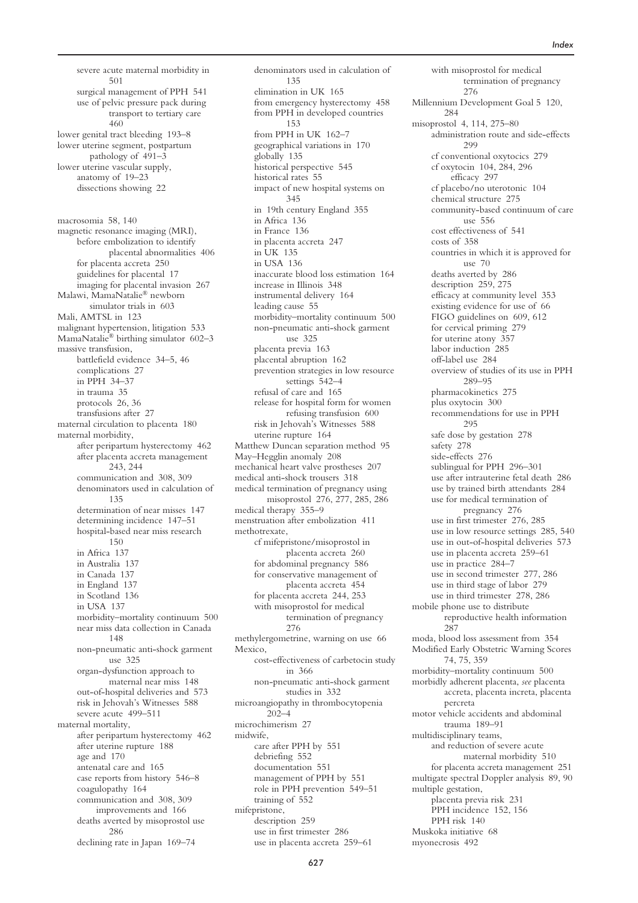severe acute maternal morbidity in 501 surgical management of PPH 541 use of pelvic pressure pack during transport to tertiary care 460 lower genital tract bleeding 193–8 lower uterine segment, postpartum pathology of 491–3 lower uterine vascular supply, anatomy of 19–23 dissections showing 22 macrosomia 58, 140 magnetic resonance imaging (MRI), before embolization to identify placental abnormalities 406 for placenta accreta 250 guidelines for placental 17 imaging for placental invasion 267 Malawi, MamaNatalie® newborn simulator trials in 603 Mali, AMTSL in 123 malignant hypertension, litigation 533 MamaNatalie® birthing simulator 602–3 massive transfusion, battlefield evidence 34–5, 46 complications 27 in PPH 34–37 in trauma 35 protocols 26, 36 transfusions after 27 maternal circulation to placenta 180 maternal morbidity, after peripartum hysterectomy 462 after placenta accreta management 243, 244 communication and 308, 309 denominators used in calculation of 135 determination of near misses 147 determining incidence 147–51 hospital-based near miss research 150 in Africa 137 in Australia 137 in Canada 137 in England 137 in Scotland 136 in USA 137 morbidity–mortality continuum 500 near miss data collection in Canada 148 non-pneumatic anti-shock garment use 325 organ-dysfunction approach to maternal near miss 148 out-of-hospital deliveries and 573 risk in Jehovah's Witnesses 588 severe acute 499–511 maternal mortality, after peripartum hysterectomy 462 after uterine rupture 188 age and 170 antenatal care and 165 case reports from history 546–8 coagulopathy 164 communication and 308, 309 improvements and 166 deaths averted by misoprostol use 286 declining rate in Japan 169–74

denominators used in calculation of 135 elimination in UK 165 from emergency hysterectomy 458 from PPH in developed countries 153 from PPH in UK 162–7 geographical variations in 170 globally 135 historical perspective 545 historical rates 55 impact of new hospital systems on 345 in 19th century England 355 in Africa 136 in France 136 in placenta accreta 247 in UK 135 in USA 136 inaccurate blood loss estimation 164 increase in Illinois 348 instrumental delivery 164 leading cause 55 morbidity–mortality continuum 500 non-pneumatic anti-shock garment use 325 placenta previa 163 placental abruption 162 prevention strategies in low resource settings 542–4 refusal of care and 165 release for hospital form for women refusing transfusion 600 risk in Jehovah's Witnesses 588 uterine rupture 164 Matthew Duncan separation method 95 May–Hegglin anomaly 208 mechanical heart valve prostheses 207 medical anti-shock trousers 318 medical termination of pregnancy using misoprostol 276, 277, 285, 286 medical therapy 355–9 menstruation after embolization 411 methotrexate, cf mifepristone/misoprostol in placenta accreta 260 for abdominal pregnancy 586 for conservative management of placenta accreta 454 for placenta accreta 244, 253 with misoprostol for medical termination of pregnancy 276 methylergometrine, warning on use 66 Mexico, cost-effectiveness of carbetocin study in 366 non-pneumatic anti-shock garment studies in 332 microangiopathy in thrombocytopenia  $202 - 4$ microchimerism 27 midwife, care after PPH by 551 debriefing 552 documentation 551 management of PPH by 551 role in PPH prevention 549–51 training of 552 mifepristone, description 259 use in first trimester 286 use in placenta accreta 259–61

with misoprostol for medical termination of pregnancy 276 Millennium Development Goal 5 120, 284 misoprostol 4, 114, 275–80 administration route and side-effects 299 cf conventional oxytocics 279 cf oxytocin 104, 284, 296 efficacy 297 cf placebo/no uterotonic 104 chemical structure 275 community-based continuum of care use 556 cost effectiveness of 541 costs of 358 countries in which it is approved for use 70 deaths averted by 286 description 259, 275 efficacy at community level 353 existing evidence for use of 66 FIGO guidelines on 609, 612 for cervical priming 279 for uterine atony 357 labor induction 285 off-label use 284 overview of studies of its use in PPH 289–95 pharmacokinetics 275 plus oxytocin 300 recommendations for use in PPH 295 safe dose by gestation 278 safety 278 side-effects 276 sublingual for PPH 296–301 use after intrauterine fetal death 286 use by trained birth attendants 284 use for medical termination of pregnancy 276 use in first trimester 276, 285 use in low resource settings 285, 540 use in out-of-hospital deliveries 573 use in placenta accreta 259–61 use in practice 284–7 use in second trimester 277, 286 use in third stage of labor 279 use in third trimester 278, 286 mobile phone use to distribute reproductive health information 287 moda, blood loss assessment from 354 Modified Early Obstetric Warning Scores 74, 75, 359 morbidity–mortality continuum 500 morbidly adherent placenta, *see* placenta accreta, placenta increta, placenta percreta motor vehicle accidents and abdominal trauma 189–91 multidisciplinary teams, and reduction of severe acute maternal morbidity 510 for placenta accreta management 251 multigate spectral Doppler analysis 89, 90 multiple gestation, placenta previa risk 231 PPH incidence 152, 156 PPH risk 140 Muskoka initiative 68 myonecrosis 492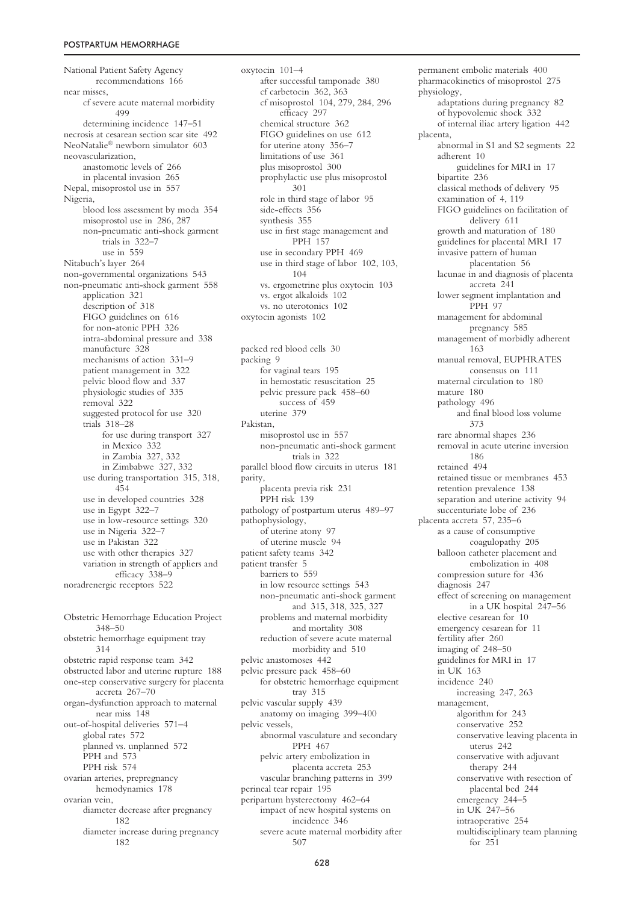National Patient Safety Agency recommendations 166 near misses, cf severe acute maternal morbidity 499 determining incidence 147–51 necrosis at cesarean section scar site 492 NeoNatalie® newborn simulator 603 neovascularization, anastomotic levels of 266 in placental invasion 265 Nepal, misoprostol use in 557 Nigeria, blood loss assessment by moda 354 misoprostol use in 286, 287 non-pneumatic anti-shock garment trials in 322–7 use in 559 Nitabuch's layer 264 non-governmental organizations 543 non-pneumatic anti-shock garment 558 application 321 description of 318 FIGO guidelines on 616 for non-atonic PPH 326 intra-abdominal pressure and 338 manufacture 328 mechanisms of action 331–9 patient management in 322 pelvic blood flow and 337 physiologic studies of 335 removal 322 suggested protocol for use 320 trials 318–28 for use during transport 327 in Mexico 332 in Zambia 327, 332 in Zimbabwe 327, 332 use during transportation 315, 318, 454 use in developed countries 328 use in Egypt 322–7 use in low-resource settings 320 use in Nigeria 322–7 use in Pakistan 322 use with other therapies 327 variation in strength of appliers and efficacy 338–9 noradrenergic receptors 522 Obstetric Hemorrhage Education Project 348–50 obstetric hemorrhage equipment tray 314 obstetric rapid response team 342

obstructed labor and uterine rupture 188 one-step conservative surgery for placenta accreta 267–70 organ-dysfunction approach to maternal near miss 148 out-of-hospital deliveries 571–4 global rates 572 planned vs. unplanned 572 PPH and 573 PPH risk 574 ovarian arteries, prepregnancy hemodynamics 178 ovarian vein, diameter decrease after pregnancy 182 diameter increase during pregnancy 182

oxytocin 101–4 after successful tamponade 380 cf carbetocin 362, 363 cf misoprostol 104, 279, 284, 296 efficacy 297 chemical structure 362 FIGO guidelines on use 612 for uterine atony 356–7 limitations of use 361 plus misoprostol 300 prophylactic use plus misoprostol 301 role in third stage of labor 95 side-effects 356 synthesis 355 use in first stage management and PPH 157 use in secondary PPH 469 use in third stage of labor 102, 103, 104 vs. ergometrine plus oxytocin 103 vs. ergot alkaloids 102 vs. no uterotonics 102 oxytocin agonists 102

packed red blood cells 30 packing 9 for vaginal tears 195 in hemostatic resuscitation 25 pelvic pressure pack 458–60 success of 459 uterine 379 Pakistan, misoprostol use in 557 non-pneumatic anti-shock garment trials in 322 parallel blood flow circuits in uterus 181 parity, placenta previa risk 231 PPH risk 139 pathology of postpartum uterus 489–97 pathophysiology, of uterine atony 97 of uterine muscle 94 patient safety teams 342 patient transfer 5 barriers to 559 in low resource settings 543 non-pneumatic anti-shock garment and 315, 318, 325, 327 problems and maternal morbidity and mortality 308 reduction of severe acute maternal morbidity and 510 pelvic anastomoses 442 pelvic pressure pack 458–60 for obstetric hemorrhage equipment tray 315 pelvic vascular supply 439 anatomy on imaging 399–400 pelvic vessels, abnormal vasculature and secondary PPH 467 pelvic artery embolization in placenta accreta 253 vascular branching patterns in 399 perineal tear repair 195 peripartum hysterectomy 462–64 impact of new hospital systems on incidence 346 severe acute maternal morbidity after 507

permanent embolic materials 400 pharmacokinetics of misoprostol 275 physiology, adaptations during pregnancy 82 of hypovolemic shock 332 of internal iliac artery ligation 442 placenta, abnormal in S1 and S2 segments 22 adherent 10 guidelines for MRI in 17 bipartite 236 classical methods of delivery 95 examination of 4, 119 FIGO guidelines on facilitation of delivery 611 growth and maturation of 180 guidelines for placental MRI 17 invasive pattern of human placentation 56 lacunae in and diagnosis of placenta accreta 241 lower segment implantation and PPH 97 management for abdominal pregnancy 585 management of morbidly adherent 163 manual removal, EUPHRATES consensus on 111 maternal circulation to 180 mature 180 pathology 496 and final blood loss volume 373 rare abnormal shapes 236 removal in acute uterine inversion 186 retained 494 retained tissue or membranes 453 retention prevalence 138 separation and uterine activity 94 succenturiate lobe of 236 placenta accreta 57, 235–6 as a cause of consumptive coagulopathy 205 balloon catheter placement and embolization in 408 compression suture for 436 diagnosis 247 effect of screening on management in a UK hospital 247–56 elective cesarean for 10 emergency cesarean for 11 fertility after 260 imaging of 248–50 guidelines for MRI in 17 in UK 163 incidence 240 increasing 247, 263 management, algorithm for 243 conservative 252 conservative leaving placenta in uterus 242 conservative with adjuvant therapy 244 conservative with resection of placental bed 244 emergency 244–5 in UK 247–56 intraoperative 254 multidisciplinary team planning for 251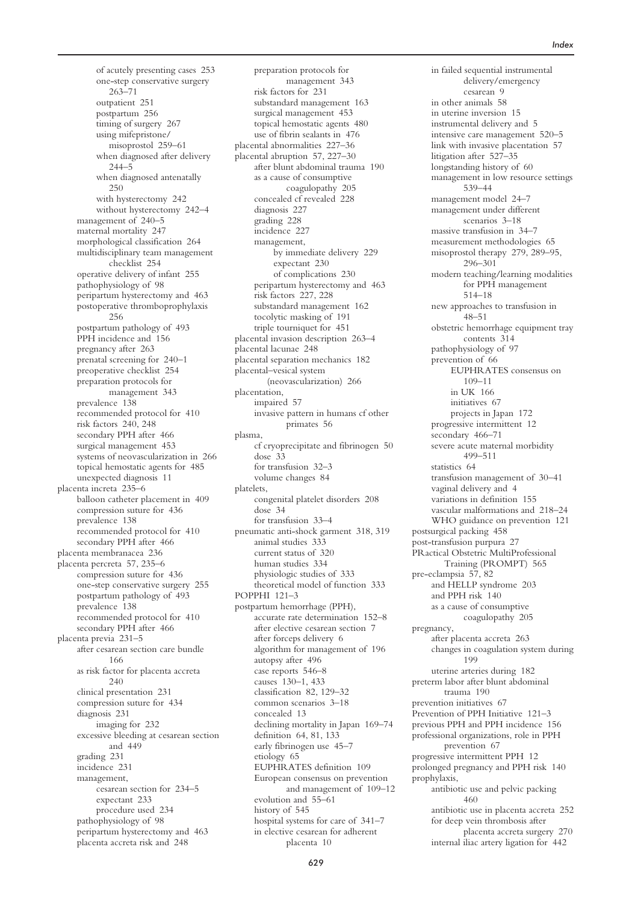of acutely presenting cases 253 one-step conservative surgery 263–71 outpatient 251 postpartum 256 timing of surgery 267 using mifepristone/ misoprostol 259–61 when diagnosed after delivery 244–5 when diagnosed antenatally 250 with hysterectomy 242 without hysterectomy 242–4 management of 240–5 maternal mortality 247 morphological classification 264 multidisciplinary team management checklist 254 operative delivery of infant 255 pathophysiology of 98 peripartum hysterectomy and 463 postoperative thromboprophylaxis 256 postpartum pathology of 493 PPH incidence and 156 pregnancy after 263 prenatal screening for 240–1 preoperative checklist 254 preparation protocols for management 343 prevalence 138 recommended protocol for 410 risk factors 240, 248 secondary PPH after 466 surgical management 453 systems of neovascularization in 266 topical hemostatic agents for 485 unexpected diagnosis 11 placenta increta 235–6 balloon catheter placement in 409 compression suture for 436 prevalence 138 recommended protocol for 410 secondary PPH after 466 placenta membranacea 236 placenta percreta 57, 235–6 compression suture for 436 one-step conservative surgery 255 postpartum pathology of 493 prevalence 138 recommended protocol for 410 secondary PPH after 466 placenta previa 231–5 after cesarean section care bundle 166 as risk factor for placenta accreta 240 clinical presentation 231 compression suture for 434 diagnosis 231 imaging for 232 excessive bleeding at cesarean section and 449 grading 231 incidence 231 management, cesarean section for 234–5 expectant 233 procedure used 234 pathophysiology of 98 peripartum hysterectomy and 463 placenta accreta risk and 248

preparation protocols for management 343 risk factors for 231 substandard management 163 surgical management 453 topical hemostatic agents 480 use of fibrin sealants in 476 placental abnormalities 227–36 placental abruption 57, 227–30 after blunt abdominal trauma 190 as a cause of consumptive coagulopathy 205 concealed cf revealed 228 diagnosis 227 grading 228 incidence 227 management, by immediate delivery 229 expectant 230 of complications 230 peripartum hysterectomy and 463 risk factors 227, 228 substandard management 162 tocolytic masking of 191 triple tourniquet for 451 placental invasion description 263–4 placental lacunae 248 placental separation mechanics 182 placental–vesical system (neovascularization) 266 placentation, impaired 57 invasive pattern in humans cf other primates 56 plasma, cf cryoprecipitate and fibrinogen 50 dose 33 for transfusion 32–3 volume changes 84 platelets, congenital platelet disorders 208 dose 34 for transfusion 33–4 pneumatic anti-shock garment 318, 319 animal studies 333 current status of 320 human studies 334 physiologic studies of 333 theoretical model of function 333 POPPHI 121–3 postpartum hemorrhage (PPH), accurate rate determination 152–8 after elective cesarean section 7 after forceps delivery 6 algorithm for management of 196 autopsy after 496 case reports 546–8 causes 130–1, 433 classification 82, 129–32 common scenarios 3–18 concealed 13 declining mortality in Japan 169–74 definition 64, 81, 133 early fibrinogen use 45–7 etiology 65 EUPHRATES definition 109 European consensus on prevention and management of 109–12 evolution and 55–61 history of 545 hospital systems for care of 341–7 in elective cesarean for adherent placenta 10

in failed sequential instrumental delivery/emergency cesarean 9 in other animals 58 in uterine inversion 15 instrumental delivery and 5 intensive care management 520–5 link with invasive placentation 57 litigation after 527–35 longstanding history of 60 management in low resource settings 539–44 management model 24–7 management under different scenarios 3–18 massive transfusion in 34–7 measurement methodologies 65 misoprostol therapy 279, 289–95, 296–301 modern teaching/learning modalities for PPH management 514–18 new approaches to transfusion in 48–51 obstetric hemorrhage equipment tray contents 314 pathophysiology of 97 prevention of 66 EUPHRATES consensus on 109–11 in UK 166 initiatives 67 projects in Japan 172 progressive intermittent 12 secondary 466–71 severe acute maternal morbidity 499–511 statistics 64 transfusion management of 30–41 vaginal delivery and 4 variations in definition 155 vascular malformations and 218–24 WHO guidance on prevention 121 postsurgical packing 458 post-transfusion purpura 27 PRactical Obstetric MultiProfessional Training (PROMPT) 565 pre-eclampsia 57, 82 and HELLP syndrome 203 and PPH risk 140 as a cause of consumptive coagulopathy 205 pregnancy, after placenta accreta 263 changes in coagulation system during 199 uterine arteries during 182 preterm labor after blunt abdominal trauma 190 prevention initiatives 67 Prevention of PPH Initiative 121–3 previous PPH and PPH incidence 156 professional organizations, role in PPH prevention 67 progressive intermittent PPH 12 prolonged pregnancy and PPH risk 140 prophylaxis, antibiotic use and pelvic packing 460 antibiotic use in placenta accreta 252 for deep vein thrombosis after placenta accreta surgery 270 internal iliac artery ligation for 442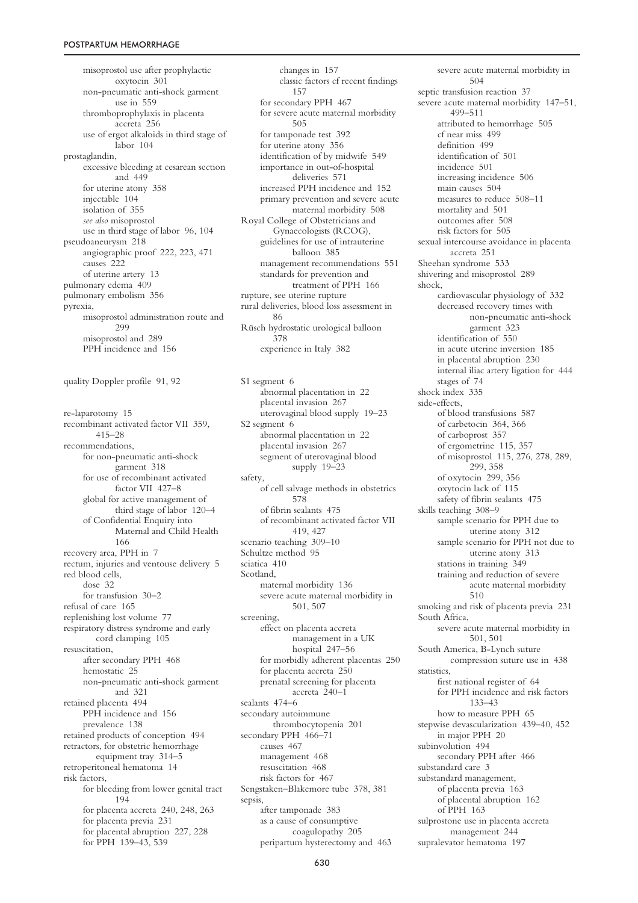misoprostol use after prophylactic oxytocin 301 non-pneumatic anti-shock garment use in 559 thromboprophylaxis in placenta accreta 256 use of ergot alkaloids in third stage of labor 104 prostaglandin, excessive bleeding at cesarean section and 449 for uterine atony 358 injectable 104 isolation of 355 *see also* misoprostol use in third stage of labor 96, 104 pseudoaneurysm 218 angiographic proof 222, 223, 471 causes 222 of uterine artery 13 pulmonary edema 409 pulmonary embolism 356 pyrexia, misoprostol administration route and 299 misoprostol and 289 PPH incidence and 156

quality Doppler profile 91, 92

re-laparotomy 15 recombinant activated factor VII 359, 415–28 recommendations, for non-pneumatic anti-shock garment 318 for use of recombinant activated factor VII 427–8 global for active management of third stage of labor 120–4 of Confidential Enquiry into Maternal and Child Health 166 recovery area, PPH in 7 rectum, injuries and ventouse delivery 5 red blood cells, dose 32 for transfusion 30–2 refusal of care 165 replenishing lost volume 77 respiratory distress syndrome and early cord clamping 105 resuscitation, after secondary PPH 468 hemostatic 25 non-pneumatic anti-shock garment and 321 retained placenta 494 PPH incidence and 156 prevalence 138 retained products of conception 494 retractors, for obstetric hemorrhage equipment tray 314–5 retroperitoneal hematoma 14 risk factors, for bleeding from lower genital tract 194 for placenta accreta 240, 248, 263 for placenta previa 231 for placental abruption 227, 228 for PPH 139–43, 539

changes in 157 classic factors cf recent findings 157 for secondary PPH 467 for severe acute maternal morbidity 505 for tamponade test 392 for uterine atony 356 identification of by midwife 549 importance in out-of-hospital deliveries 571 increased PPH incidence and 152 primary prevention and severe acute maternal morbidity 508 Royal College of Obstetricians and Gynaecologists (RCOG), guidelines for use of intrauterine balloon 385 management recommendations 551 standards for prevention and treatment of PPH 166 rupture, see uterine rupture rural deliveries, blood loss assessment in 86 Rüsch hydrostatic urological balloon 378 experience in Italy 382

S1 segment 6 abnormal placentation in 22 placental invasion 267 uterovaginal blood supply 19–23 S2 segment 6 abnormal placentation in 22 placental invasion 267 segment of uterovaginal blood supply 19–23 safety, of cell salvage methods in obstetrics 578 of fibrin sealants 475 of recombinant activated factor VII 419, 427 scenario teaching 309–10 Schultze method 95 sciatica 410 Scotland, maternal morbidity 136 severe acute maternal morbidity in 501, 507 screening, effect on placenta accreta management in a UK hospital 247–56 for morbidly adherent placentas 250 for placenta accreta 250 prenatal screening for placenta accreta 240–1 sealants 474–6 secondary autoimmune thrombocytopenia 201 secondary PPH  $466-71$ causes 467 management 468 resuscitation 468 risk factors for 467 Sengstaken–Blakemore tube 378, 381 sepsis, after tamponade 383 as a cause of consumptive coagulopathy 205 peripartum hysterectomy and 463

severe acute maternal morbidity in 504 septic transfusion reaction 37 severe acute maternal morbidity 147–51, 499–511 attributed to hemorrhage 505 cf near miss 499 definition 499 identification of 501 incidence 501 increasing incidence 506 main causes 504 measures to reduce 508–11 mortality and 501 outcomes after 508 risk factors for 505 sexual intercourse avoidance in placenta accreta 251 Sheehan syndrome 533 shivering and misoprostol 289 shock, cardiovascular physiology of 332 decreased recovery times with non-pneumatic anti-shock garment 323 identification of 550 in acute uterine inversion 185 in placental abruption 230 internal iliac artery ligation for 444 stages of 74 shock index 335 side-effects, of blood transfusions 587 of carbetocin 364, 366 of carboprost 357 of ergometrine 115, 357 of misoprostol 115, 276, 278, 289, 299, 358 of oxytocin 299, 356 oxytocin lack of 115 safety of fibrin sealants 475 skills teaching 308–9 sample scenario for PPH due to uterine atony 312 sample scenario for PPH not due to uterine atony 313 stations in training 349 training and reduction of severe acute maternal morbidity 510 smoking and risk of placenta previa 231 South Africa, severe acute maternal morbidity in 501, 501 South America, B-Lynch suture compression suture use in 438 statistics, first national register of 64 for PPH incidence and risk factors 133–43 how to measure PPH 65 stepwise devascularization 439–40, 452 in major PPH 20 subinvolution 494 secondary PPH after 466 substandard care 3 substandard management, of placenta previa 163 of placental abruption 162 of PPH 163 sulprostone use in placenta accreta management 244 supralevator hematoma 197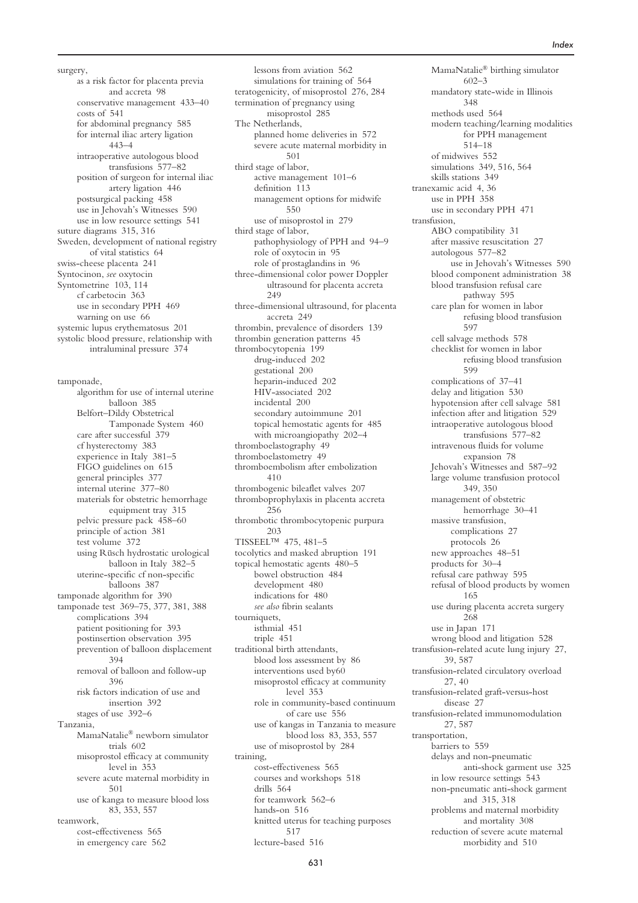surgery, as a risk factor for placenta previa and accreta 98 conservative management 433–40 costs of 541 for abdominal pregnancy 585 for internal iliac artery ligation 443–4 intraoperative autologous blood transfusions 577–82 position of surgeon for internal iliac artery ligation 446 postsurgical packing 458 use in Jehovah's Witnesses 590 use in low resource settings 541 suture diagrams 315, 316 Sweden, development of national registry of vital statistics 64 swiss-cheese placenta 241 Syntocinon, *see* oxytocin Syntometrine 103, 114 cf carbetocin 363 use in secondary PPH 469 warning on use 66 systemic lupus erythematosus 201 systolic blood pressure, relationship with intraluminal pressure 374

tamponade, algorithm for use of internal uterine balloon 385 Belfort–Dildy Obstetrical Tamponade System 460 care after successful 379 cf hysterectomy 383 experience in Italy 381–5 FIGO guidelines on 615 general principles 377 internal uterine 377–80 materials for obstetric hemorrhage equipment tray 315 pelvic pressure pack 458–60 principle of action 381 test volume 372 using Rüsch hydrostatic urological balloon in Italy 382–5 uterine-specific cf non-specific balloons 387 tamponade algorithm for 390 tamponade test 369–75, 377, 381, 388 complications 394 patient positioning for 393 postinsertion observation 395 prevention of balloon displacement 394 removal of balloon and follow-up 396 risk factors indication of use and insertion 392 stages of use 392–6 Tanzania, MamaNatalie® newborn simulator trials 602 misoprostol efficacy at community level in 353 severe acute maternal morbidity in 501 use of kanga to measure blood loss 83, 353, 557 teamwork, cost-effectiveness 565 in emergency care 562

lessons from aviation 562 simulations for training of 564 teratogenicity, of misoprostol 276, 284 termination of pregnancy using misoprostol 285 The Netherlands, planned home deliveries in 572 severe acute maternal morbidity in 501 third stage of labor, active management 101–6 definition 113 management options for midwife 550 use of misoprostol in 279 third stage of labor, pathophysiology of PPH and 94–9 role of oxytocin in 95 role of prostaglandins in 96 three-dimensional color power Doppler ultrasound for placenta accreta 249 three-dimensional ultrasound, for placenta accreta 249 thrombin, prevalence of disorders 139 thrombin generation patterns 45 thrombocytopenia 199 drug-induced 202 gestational 200 heparin-induced 202 HIV-associated 202 incidental 200 secondary autoimmune 201 topical hemostatic agents for 485 with microangiopathy 202–4 thromboelastography 49 thromboelastometry 49 thromboembolism after embolization 410 thrombogenic bileaflet valves 207 thromboprophylaxis in placenta accreta 256 thrombotic thrombocytopenic purpura 203 TISSEEL™ 475, 481–5 tocolytics and masked abruption 191 topical hemostatic agents 480–5 bowel obstruction 484 development 480 indications for 480 *see also* fibrin sealants tourniquets, isthmial 451 triple 451 traditional birth attendants, blood loss assessment by 86 interventions used by60 misoprostol efficacy at community level 353 role in community-based continuum of care use 556 use of kangas in Tanzania to measure blood loss 83, 353, 557 use of misoprostol by 284 training, cost-effectiveness 565 courses and workshops 518 drills 564 for teamwork 562–6 hands-on 516 knitted uterus for teaching purposes 517 lecture-based 516

MamaNatalie® birthing simulator 602–3 mandatory state-wide in Illinois 348 methods used 564 modern teaching/learning modalities for PPH management 514–18 of midwives 552 simulations 349, 516, 564 skills stations 349 tranexamic acid 4, 36 use in PPH 358 use in secondary PPH 471 transfusion, ABO compatibility 31 after massive resuscitation 27 autologous 577–82 use in Jehovah's Witnesses 590 blood component administration 38 blood transfusion refusal care pathway 595 care plan for women in labor refusing blood transfusion 597 cell salvage methods 578 checklist for women in labor refusing blood transfusion 599 complications of 37–41 delay and litigation 530 hypotension after cell salvage 581 infection after and litigation 529 intraoperative autologous blood transfusions 577–82 intravenous fluids for volume expansion 78 Jehovah's Witnesses and 587–92 large volume transfusion protocol 349, 350 management of obstetric hemorrhage 30–41 massive transfusion, complications 27 protocols 26 new approaches 48–51 products for 30–4 refusal care pathway 595 refusal of blood products by women 165 use during placenta accreta surgery 268 use in Japan 171 wrong blood and litigation 528 transfusion-related acute lung injury 27, 39, 587 transfusion-related circulatory overload 27, 40 transfusion-related graft-versus-host disease 27 transfusion-related immunomodulation 27, 587 transportation, barriers to 559 delays and non-pneumatic anti-shock garment use 325 in low resource settings 543 non-pneumatic anti-shock garment and 315, 318 problems and maternal morbidity and mortality 308 reduction of severe acute maternal morbidity and 510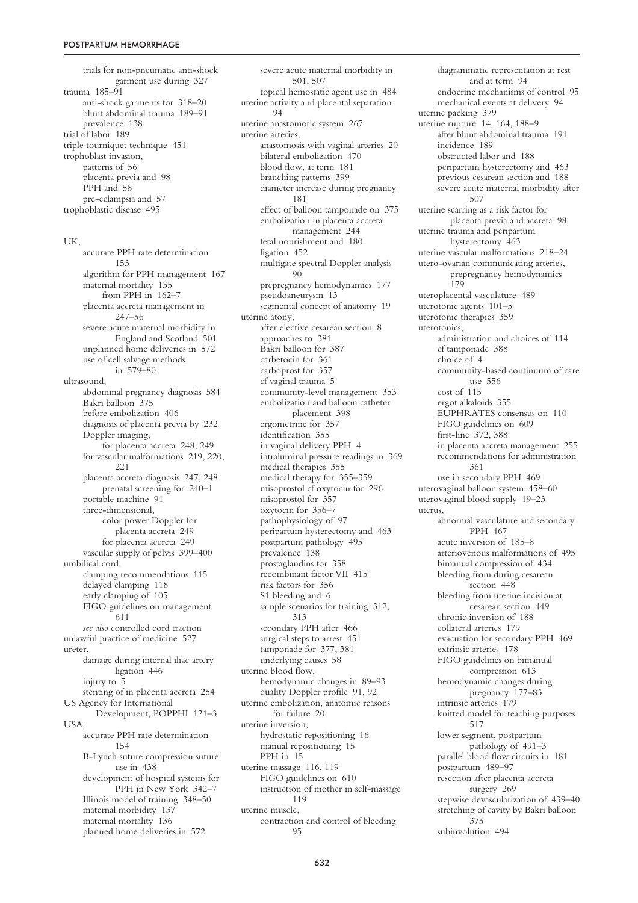trials for non-pneumatic anti-shock garment use during 327 trauma 185–91 anti-shock garments for 318–20 blunt abdominal trauma 189–91 prevalence 138 trial of labor 189 triple tourniquet technique 451 trophoblast invasion, patterns of 56 placenta previa and 98 PPH and 58 pre-eclampsia and 57 trophoblastic disease 495

UK,

accurate PPH rate determination 153 algorithm for PPH management 167 maternal mortality 135 from PPH in 162–7 placenta accreta management in 247–56 severe acute maternal morbidity in England and Scotland 501 unplanned home deliveries in 572 use of cell salvage methods in 579–80 ultrasound, abdominal pregnancy diagnosis 584 Bakri balloon 375 before embolization 406 diagnosis of placenta previa by 232 Doppler imaging, for placenta accreta 248, 249 for vascular malformations 219, 220, 221 placenta accreta diagnosis 247, 248 prenatal screening for 240–1 portable machine 91 three-dimensional, color power Doppler for placenta accreta 249 for placenta accreta 249 vascular supply of pelvis 399–400 umbilical cord, clamping recommendations 115 delayed clamping 118 early clamping of 105 FIGO guidelines on management 611 *see also* controlled cord traction unlawful practice of medicine 527 ureter, damage during internal iliac artery ligation 446 injury to 5 stenting of in placenta accreta 254 US Agency for International Development, POPPHI 121–3 USA, accurate PPH rate determination 154 B-Lynch suture compression suture use in 438 development of hospital systems for PPH in New York 342–7 Illinois model of training 348–50 maternal morbidity 137 maternal mortality 136 planned home deliveries in 572

severe acute maternal morbidity in 501, 507 topical hemostatic agent use in 484 uterine activity and placental separation 94 uterine anastomotic system 267 uterine arteries, anastomosis with vaginal arteries 20 bilateral embolization 470 blood flow, at term 181 branching patterns 399 diameter increase during pregnancy 181 effect of balloon tamponade on 375 embolization in placenta accreta management 244 fetal nourishment and 180 ligation 452 multigate spectral Doppler analysis 90 prepregnancy hemodynamics 177 pseudoaneurysm 13 segmental concept of anatomy 19 uterine atony, after elective cesarean section 8 approaches to 381 Bakri balloon for 387 carbetocin for 361 carboprost for 357 cf vaginal trauma 5 community-level management 353 embolization and balloon catheter placement 398 ergometrine for 357 identification 355 in vaginal delivery PPH 4 intraluminal pressure readings in 369 medical therapies 355 medical therapy for 355–359 misoprostol cf oxytocin for 296 misoprostol for 357 oxytocin for 356–7 pathophysiology of 97 peripartum hysterectomy and 463 postpartum pathology 495 prevalence 138 prostaglandins for 358 recombinant factor VII 415 risk factors for 356 S1 bleeding and 6 sample scenarios for training 312, 313 secondary PPH after 466 surgical steps to arrest 451 tamponade for 377, 381 underlying causes 58 uterine blood flow, hemodynamic changes in 89–93 quality Doppler profile 91, 92 uterine embolization, anatomic reasons for failure 20 uterine inversion, hydrostatic repositioning 16 manual repositioning 15 PPH in 15 uterine massage 116, 119 FIGO guidelines on 610 instruction of mother in self-massage 119 uterine muscle, contraction and control of bleeding 95

diagrammatic representation at rest and at term 94 endocrine mechanisms of control 95 mechanical events at delivery 94 uterine packing 379 uterine rupture 14, 164, 188–9 after blunt abdominal trauma 191 incidence 189 obstructed labor and 188 peripartum hysterectomy and 463 previous cesarean section and 188 severe acute maternal morbidity after 507 uterine scarring as a risk factor for placenta previa and accreta 98 uterine trauma and peripartum hysterectomy 463 uterine vascular malformations 218–24 utero-ovarian communicating arteries, prepregnancy hemodynamics 179 uteroplacental vasculature 489 uterotonic agents 101–5 uterotonic therapies 359 uterotonics, administration and choices of 114 cf tamponade 388 choice of 4 community-based continuum of care use 556 cost of 115 ergot alkaloids 355 EUPHRATES consensus on 110 FIGO guidelines on 609 first-line 372, 388 in placenta accreta management 255 recommendations for administration 361 use in secondary PPH 469 uterovaginal balloon system 458–60 uterovaginal blood supply 19–23 uterus, abnormal vasculature and secondary PPH 467 acute inversion of 185–8 arteriovenous malformations of 495 bimanual compression of 434 bleeding from during cesarean section 448 bleeding from uterine incision at cesarean section 449 chronic inversion of 188 collateral arteries 179 evacuation for secondary PPH 469 extrinsic arteries 178 FIGO guidelines on bimanual compression 613 hemodynamic changes during pregnancy 177–83 intrinsic arteries 179 knitted model for teaching purposes 517 lower segment, postpartum pathology of 491–3 parallel blood flow circuits in 181 postpartum 489–97 resection after placenta accreta surgery 269 stepwise devascularization of 439–40 stretching of cavity by Bakri balloon 375 subinvolution 494